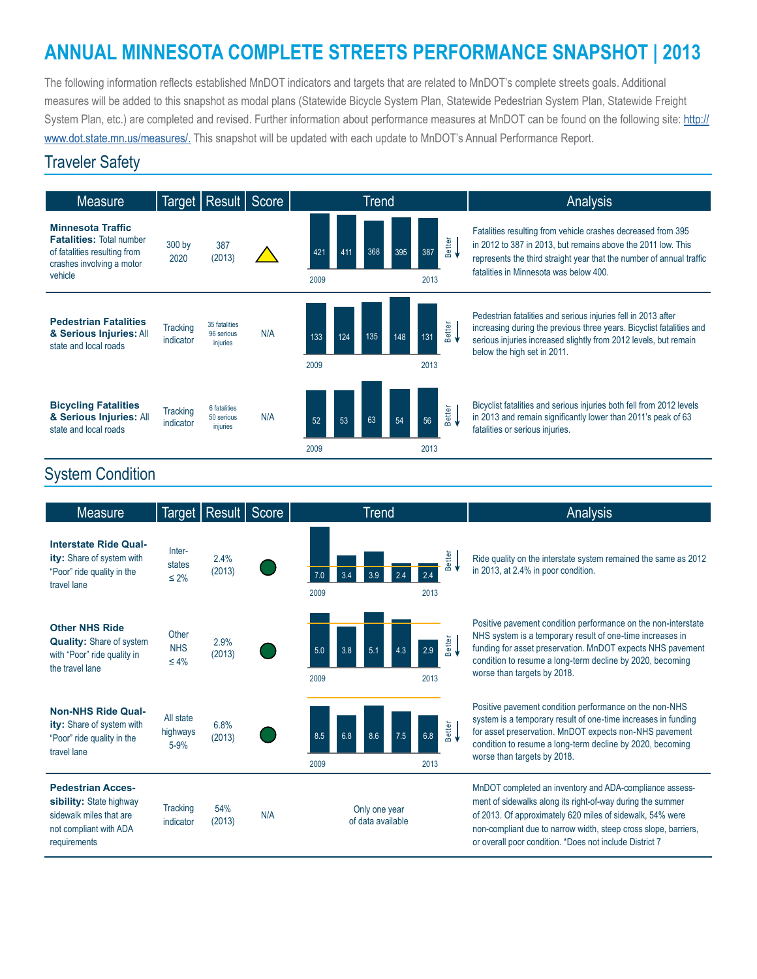# **ANNUAL MINNESOTA COMPLETE STREETS PERFORMANCE SNAPSHOT | 2013**

The following information reflects established MnDOT indicators and targets that are related to MnDOT's complete streets goals. Additional measures will be added to this snapshot as modal plans (Statewide Bicycle System Plan, Statewide Pedestrian System Plan, Statewide Freight System Plan, etc.) are completed and revised. Further information about performance measures at MnDOT can be found on the following site: [http://](http://www.dot.state.mn.us/measures/) [www.dot.state.mn.us/measures/](http://www.dot.state.mn.us/measures/). This snapshot will be updated with each update to MnDOT's Annual Performance Report.

#### Traveler Safety



### System Condition

| <b>Measure</b>                                                                                                           |                                   | Target   Result | Score | Trend                                                            | Analysis                                                                                                                                                                                                                                                                                                         |
|--------------------------------------------------------------------------------------------------------------------------|-----------------------------------|-----------------|-------|------------------------------------------------------------------|------------------------------------------------------------------------------------------------------------------------------------------------------------------------------------------------------------------------------------------------------------------------------------------------------------------|
| <b>Interstate Ride Qual-</b><br>ity: Share of system with<br>"Poor" ride quality in the<br>travel lane                   | Inter-<br>states<br>$\leq 2\%$    | 2.4%<br>(2013)  |       | etter<br>മ<br>2009<br>2013                                       | Ride quality on the interstate system remained the same as 2012<br>in 2013, at 2.4% in poor condition.                                                                                                                                                                                                           |
| <b>Other NHS Ride</b><br><b>Quality:</b> Share of system<br>with "Poor" ride quality in<br>the travel lane               | Other<br><b>NHS</b><br>$\leq 4\%$ | 2.9%<br>(2013)  |       | <b>Better</b><br>5.0<br>3.8<br>5.1<br>2.9<br>2013<br>2009        | Positive pavement condition performance on the non-interstate<br>NHS system is a temporary result of one-time increases in<br>funding for asset preservation. MnDOT expects NHS pavement<br>condition to resume a long-term decline by 2020, becoming<br>worse than targets by 2018.                             |
| <b>Non-NHS Ride Qual-</b><br>ity: Share of system with<br>"Poor" ride quality in the<br>travel lane                      | All state<br>highways<br>$5 - 9%$ | 6.8%<br>(2013)  |       | <b>Better</b><br>8.5<br>6.8<br>6.8<br>8.6<br>7.5<br>2009<br>2013 | Positive pavement condition performance on the non-NHS<br>system is a temporary result of one-time increases in funding<br>for asset preservation. MnDOT expects non-NHS pavement<br>condition to resume a long-term decline by 2020, becoming<br>worse than targets by 2018.                                    |
| <b>Pedestrian Acces-</b><br>sibility: State highway<br>sidewalk miles that are<br>not compliant with ADA<br>requirements | <b>Tracking</b><br>indicator      | 54%<br>(2013)   | N/A   | Only one year<br>of data available                               | MnDOT completed an inventory and ADA-compliance assess-<br>ment of sidewalks along its right-of-way during the summer<br>of 2013. Of approximately 620 miles of sidewalk, 54% were<br>non-compliant due to narrow width, steep cross slope, barriers,<br>or overall poor condition. *Does not include District 7 |